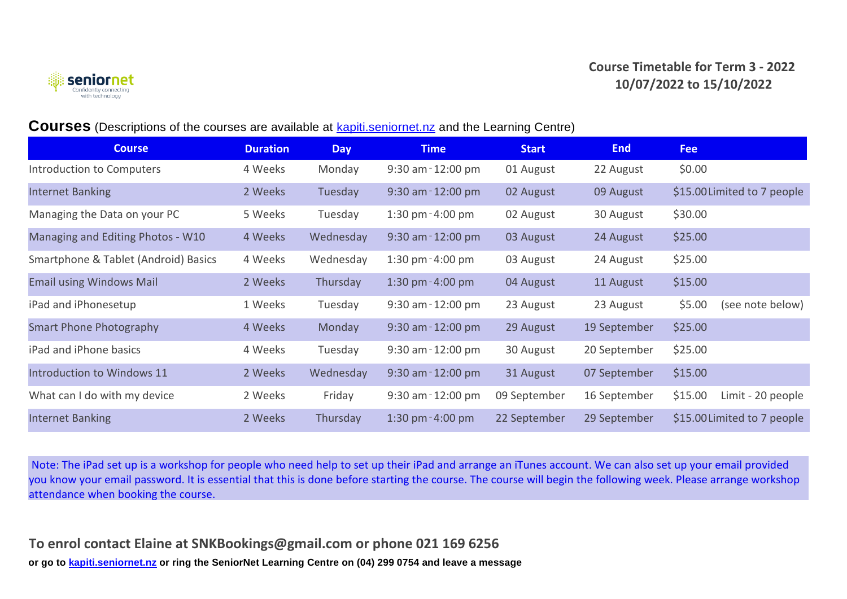



## **Courses** (Descriptions of the courses are available at kapiti.seniornet.nz and the Learning Centre)

| <b>Course</b>                        | <b>Duration</b> | <b>Day</b> | <b>Time</b>           | <b>Start</b> | <b>End</b>   | <b>Fee</b>                   |
|--------------------------------------|-----------------|------------|-----------------------|--------------|--------------|------------------------------|
| Introduction to Computers            | 4 Weeks         | Monday     | $9:30$ am $-12:00$ pm | 01 August    | 22 August    | \$0.00                       |
| <b>Internet Banking</b>              | 2 Weeks         | Tuesday    | $9:30$ am $-12:00$ pm | 02 August    | 09 August    | \$15.00 Limited to 7 people  |
| Managing the Data on your PC         | 5 Weeks         | Tuesday    | 1:30 pm $-4:00$ pm    | 02 August    | 30 August    | \$30.00                      |
| Managing and Editing Photos - W10    | 4 Weeks         | Wednesday  | $9:30$ am $-12:00$ pm | 03 August    | 24 August    | \$25.00                      |
| Smartphone & Tablet (Android) Basics | 4 Weeks         | Wednesday  | 1:30 pm $-4:00$ pm    | 03 August    | 24 August    | \$25.00                      |
| <b>Email using Windows Mail</b>      | 2 Weeks         | Thursday   | 1:30 pm $-4:00$ pm    | 04 August    | 11 August    | \$15.00                      |
| iPad and iPhonesetup                 | 1 Weeks         | Tuesday    | $9:30$ am $-12:00$ pm | 23 August    | 23 August    | \$5.00<br>(see note below)   |
| <b>Smart Phone Photography</b>       | 4 Weeks         | Monday     | $9:30$ am $-12:00$ pm | 29 August    | 19 September | \$25.00                      |
| iPad and iPhone basics               | 4 Weeks         | Tuesday    | $9:30$ am $-12:00$ pm | 30 August    | 20 September | \$25.00                      |
| <b>Introduction to Windows 11</b>    | 2 Weeks         | Wednesday  | $9:30$ am $-12:00$ pm | 31 August    | 07 September | \$15.00                      |
| What can I do with my device         | 2 Weeks         | Friday     | $9:30$ am $-12:00$ pm | 09 September | 16 September | \$15.00<br>Limit - 20 people |
| <b>Internet Banking</b>              | 2 Weeks         | Thursday   | 1:30 pm $-4:00$ pm    | 22 September | 29 September | \$15.00 Limited to 7 people  |

 Note: The iPad set up is a workshop for people who need help to set up their iPad and arrange an iTunes account. We can also set up your email provided you know your email password. It is essential that this is done before starting the course. The course will begin the following week. Please arrange workshop attendance when booking the course.

**or go to kapiti.seniornet.nz or ring the SeniorNet Learning Centre on (04) 299 0754 and leave a message To enrol contact Elaine at SNKBookings@gmail.com or phone 021 169 6256**